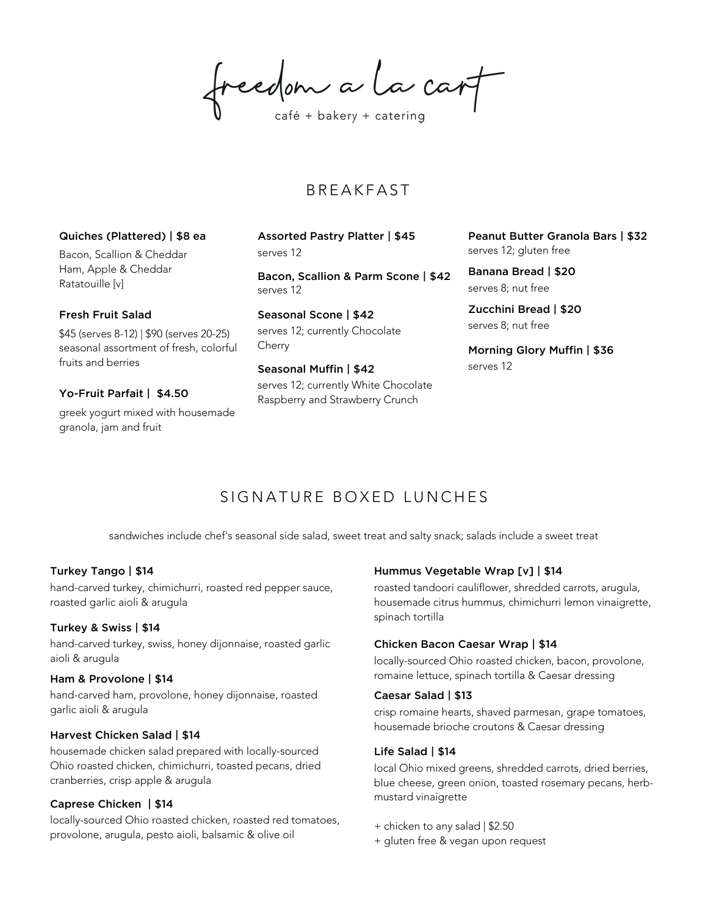freedom a la cart

## **B R E A K F A S T**

#### Quiches (Plattered) | \$8 ea

Bacon, Scallion & Cheddar Ham, Apple & Cheddar Ratatouille [v]

#### Fresh Fruit Salad

\$45 (serves 8-12) | \$90 (serves 20-25) seasonal assortment of fresh, colorful fruits and berries

## Yo-Fruit Parfait | \$4.50

greek yogurt mixed with housemade granola, jam and fruit

Assorted Pastry Platter | \$45 serves 12

Bacon, Scallion & Parm Scone | \$42 serves 12

Seasonal Scone | \$42 serves 12; currently Chocolate Cherry

#### Seasonal Muffin | \$42

serves 12; currently White Chocolate Raspberry and Strawberry Crunch

Peanut Butter Granola Bars | \$32 serves 12; gluten free

Banana Bread | \$20 serves 8; nut free

Zucchini Bread | \$20 serves 8; nut free

Morning Glory Muffin | \$36 serves 12

## SIGNATURE BOXED LUNCHES

sandwiches include chef's seasonal side salad, sweet treat and salty snack; salads include a sweet treat

## Turkey Tango | \$14

hand-carved turkey, chimichurri, roasted red pepper sauce, roasted garlic aioli & arugula

## Turkey & Swiss | \$14

hand-carved turkey, swiss, honey dijonnaise, roasted garlic aioli & arugula

## Ham & Provolone | \$14

hand-carved ham, provolone, honey dijonnaise, roasted garlic aioli & arugula

## Harvest Chicken Salad | \$14

housemade chicken salad prepared with locally-sourced Ohio roasted chicken, chimichurri, toasted pecans, dried cranberries, crisp apple & arugula

## Caprese Chicken | \$14

locally-sourced Ohio roasted chicken, roasted red tomatoes, provolone, arugula, pesto aioli, balsamic & olive oil

## Hummus Vegetable Wrap [v] | \$14

roasted tandoori cauliflower, shredded carrots, arugula, housemade citrus hummus, chimichurri lemon vinaigrette, spinach tortilla

#### Chicken Bacon Caesar Wrap | \$14

locally-sourced Ohio roasted chicken, bacon, provolone, romaine lettuce, spinach tortilla & Caesar dressing

#### Caesar Salad | \$13

crisp romaine hearts, shaved parmesan, grape tomatoes, housemade brioche croutons & Caesar dressing

#### Life Salad | \$14

local Ohio mixed greens, shredded carrots, dried berries, blue cheese, green onion, toasted rosemary pecans, herbmustard vinaigrette

- + chicken to any salad | \$2.50
- + gluten free & vegan upon request